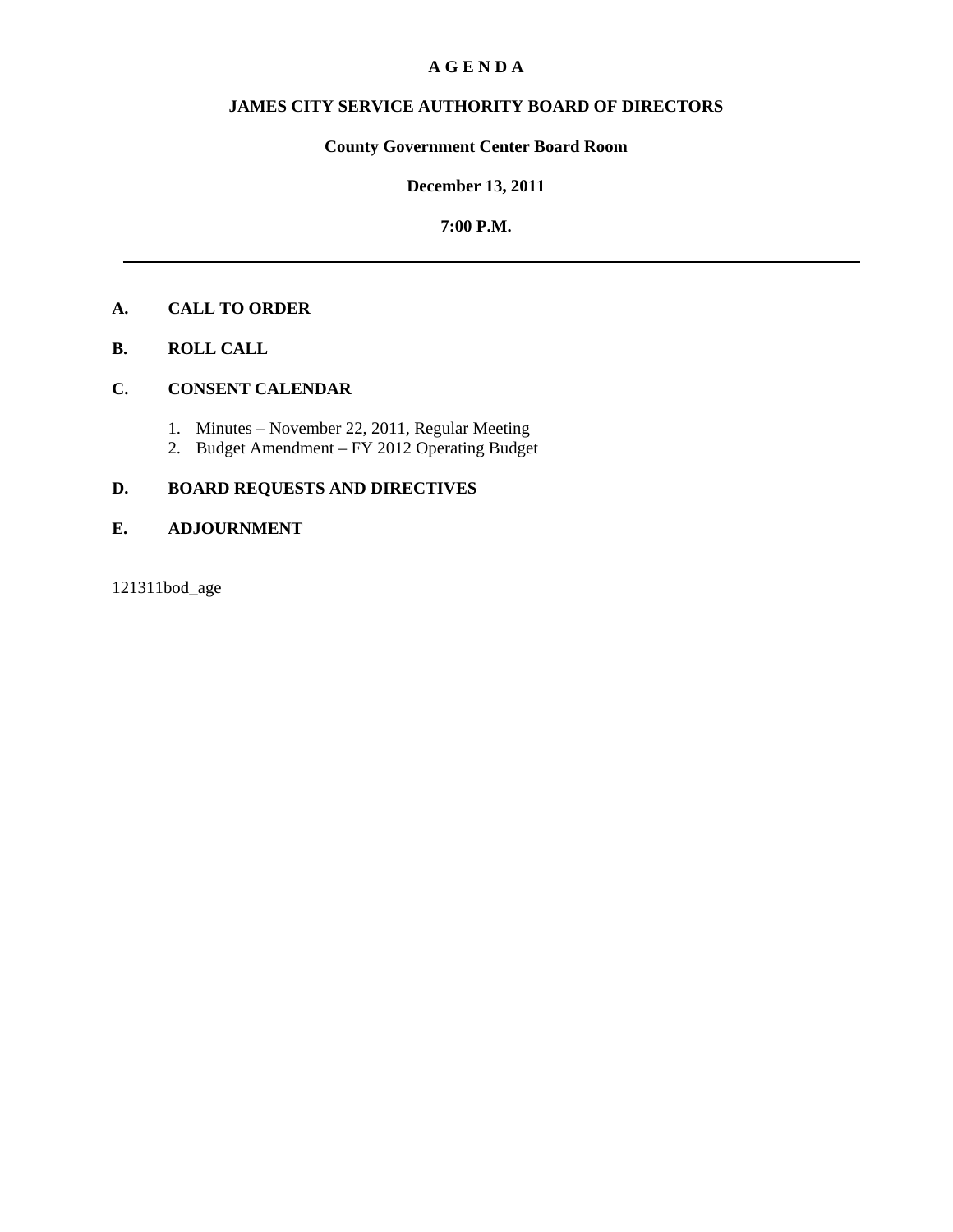## **A G E N D A**

# **JAMES CITY SERVICE AUTHORITY BOARD OF DIRECTORS**

# **County Government Center Board Room**

## **December 13, 2011**

## **7:00 P.M.**

# **A. CALL TO ORDER**

**B. ROLL CALL**

## **C. CONSENT CALENDAR**

- 1. Minutes November 22, 2011, Regular Meeting
- 2. Budget Amendment FY 2012 Operating Budget

# **D. BOARD REQUESTS AND DIRECTIVES**

## **E. ADJOURNMENT**

121311bod\_age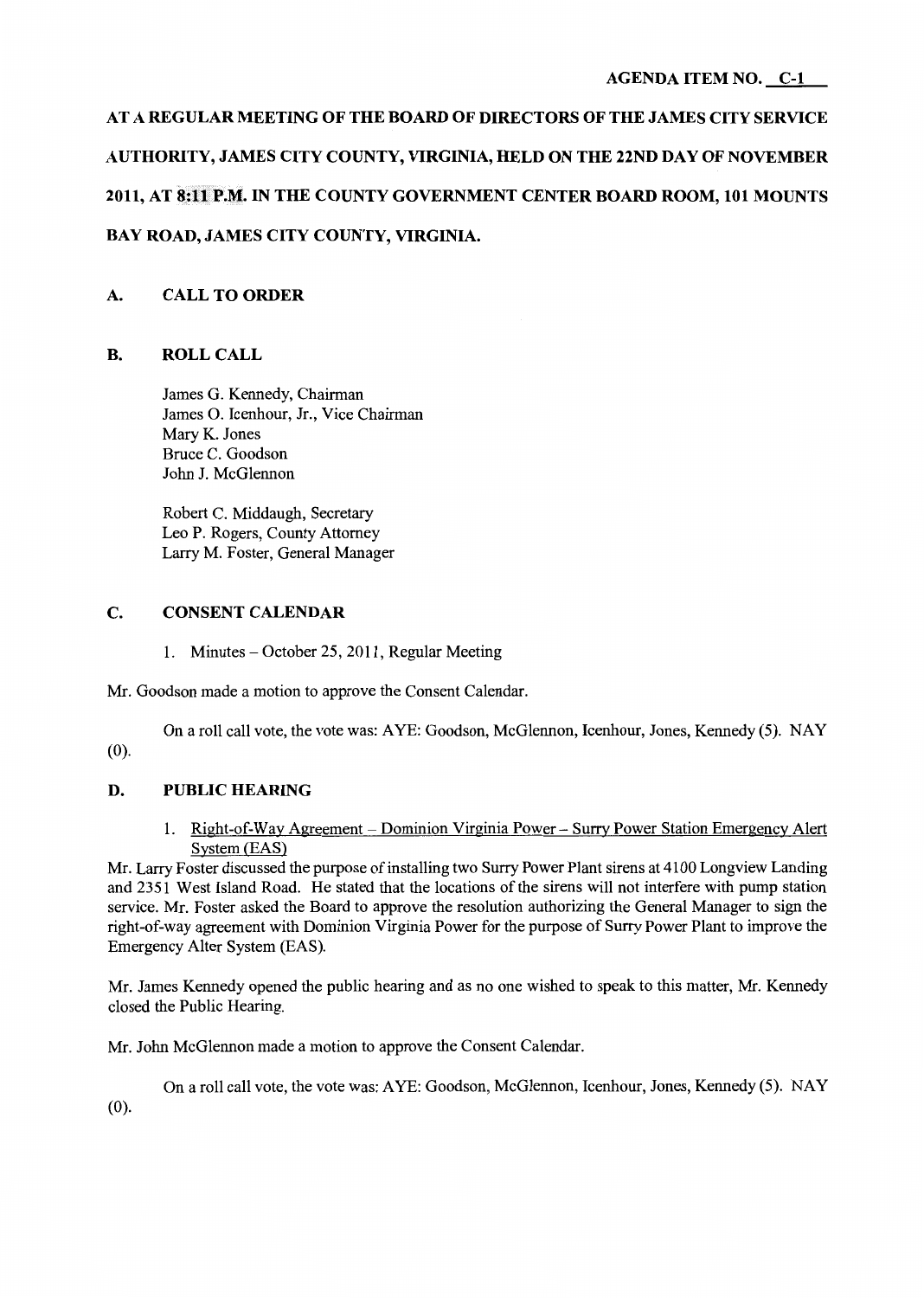# **AT A REGULAR MEETING OF THE BOARD OF DIRECTORS OF THE JAMES CITY SERVICE AUTHORITY, JAMES CITY COUNTY, VIRGINIA, HELD ON THE 22ND DAY OF NOVEMBER 2011, AT 8:11P.M. IN THE COUNTY GOVERNMENT CENTER BOARD ROOM, 101 MOUNTS BAY ROAD, JAMES CITY COUNTY, VIRGINIA.**

# **A. CALL TO ORDER**

# **B. ROLLCALL**

James G. Kennedy, Chairman James 0. Icenhour, Jr., Vice Chairman Mary K. Jones Bruce C. Goodson John J. McGlennon

Robert C. Middaugh, Secretary Leo P. Rogers, County Attorney Larry M. Foster, General Manager

## **C. CONSENT CALENDAR**

1. Minutes – October 25, 2011, Regular Meeting

Mr. Goodson made a motion to approve the Consent Calendar.

On a roll call vote, the vote was: AYE: Goodson, McGlennon, Icenhour, Jones, Kennedy (5). NAY (0).

# **D. PUBLIC HEARING**

1. Right-of-Way Agreement - Dominion Virginia Power - Surry Power Station Emergency Alert System (EAS)

Mr. Larry Foster discussed the purpose of installing two Surry Power Plant sirens at 4100 Longview Landing and 2351 West Island Road. He stated that the locations of the sirens will not interfere with pump station service. Mr. Foster asked the Board to approve the resolution authorizing the General Manager to sign the right-of-way agreement with Dominion Virginia Power for the purpose of Surry Power Plant to improve the Emergency Alter System (EAS).

Mr. James Kennedy opened the public hearing and as no one wished to speak to this matter, Mr. Kennedy closed the Public Hearing.

Mr. John McGlennon made a motion to approve the Consent Calendar.

On a roll call vote, the vote was: AYE: Goodson, McGlennon, Icenhour, Jones, Kennedy (5). NAY (0).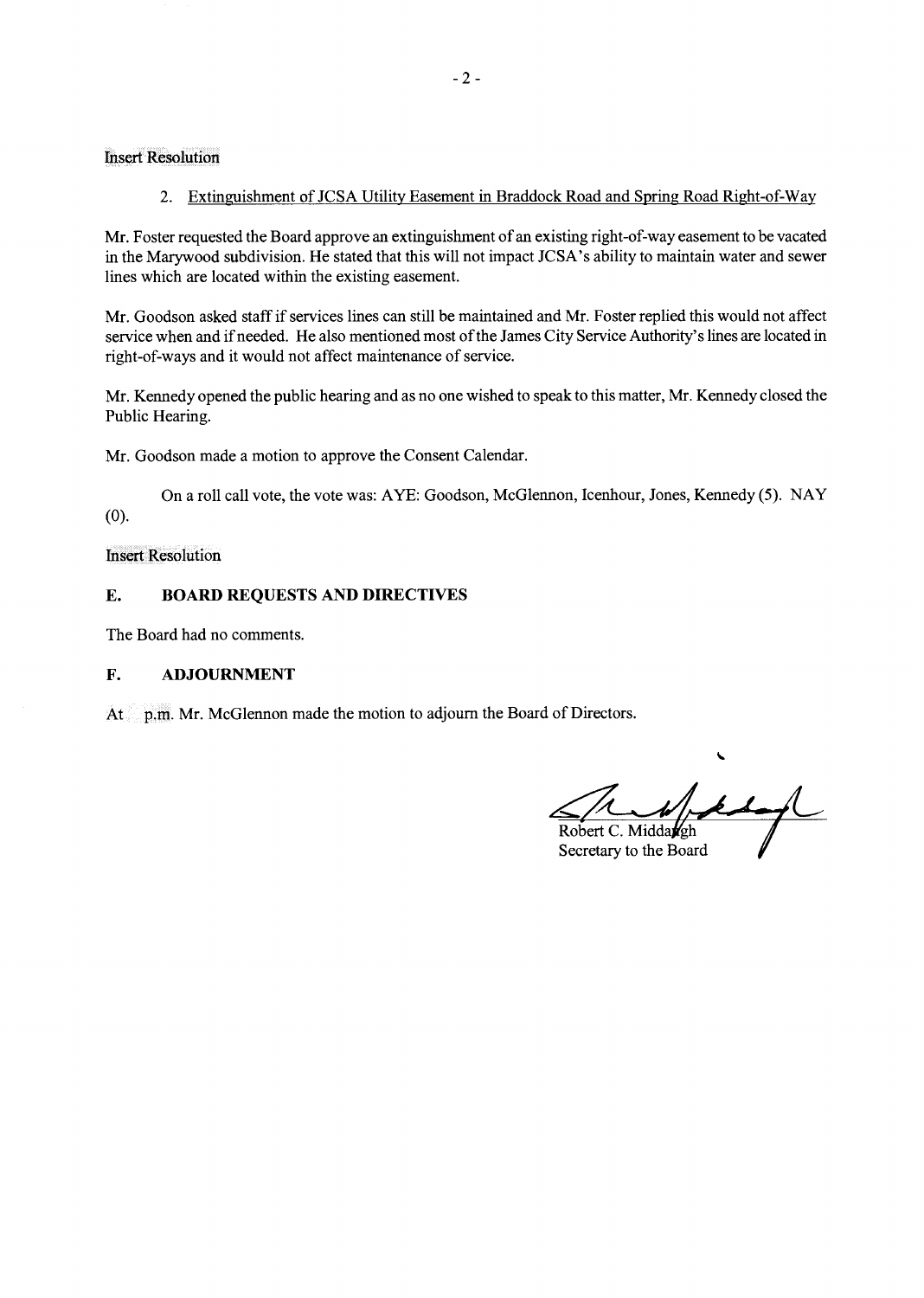Insert Resolution

2. Extinguishment of JCSA Utility Easement in Braddock Road and Spring Road Right-of-Way

Mr. Foster requested the Board approve an extinguishment of an existing right-of-way easement to be vacated in the Marywood subdivision. He stated that this will not impact JCSA's ability to maintain water and sewer lines which are located within the existing easement.

Mr. Goodson asked staff if services lines can still be maintained and Mr. Foster replied this would not affect service when and if needed. He also mentioned most of the James City Service Authority's lines are located in right-of-ways and it would not affect maintenance of service.

Mr. Kennedy opened the public hearing and as no one wished to speak to this matter, Mr. Kennedy closed the Public Hearing.

Mr. Goodson made a motion to approve the Consent Calendar.

On a roll call vote, the vote was: AYE: Goodson, McGlennon, Icenhour, Jones, Kennedy (5). NAY (0).

Insert Resolution

## **E. BOARD REQUESTS AND DIRECTIVES**

The Board had no comments.

## **F. ADJOURNMENT**

At p.m. Mr. McGlennon made the motion to adjourn the Board of Directors.

Robert C. Middargh

Secretary to the Board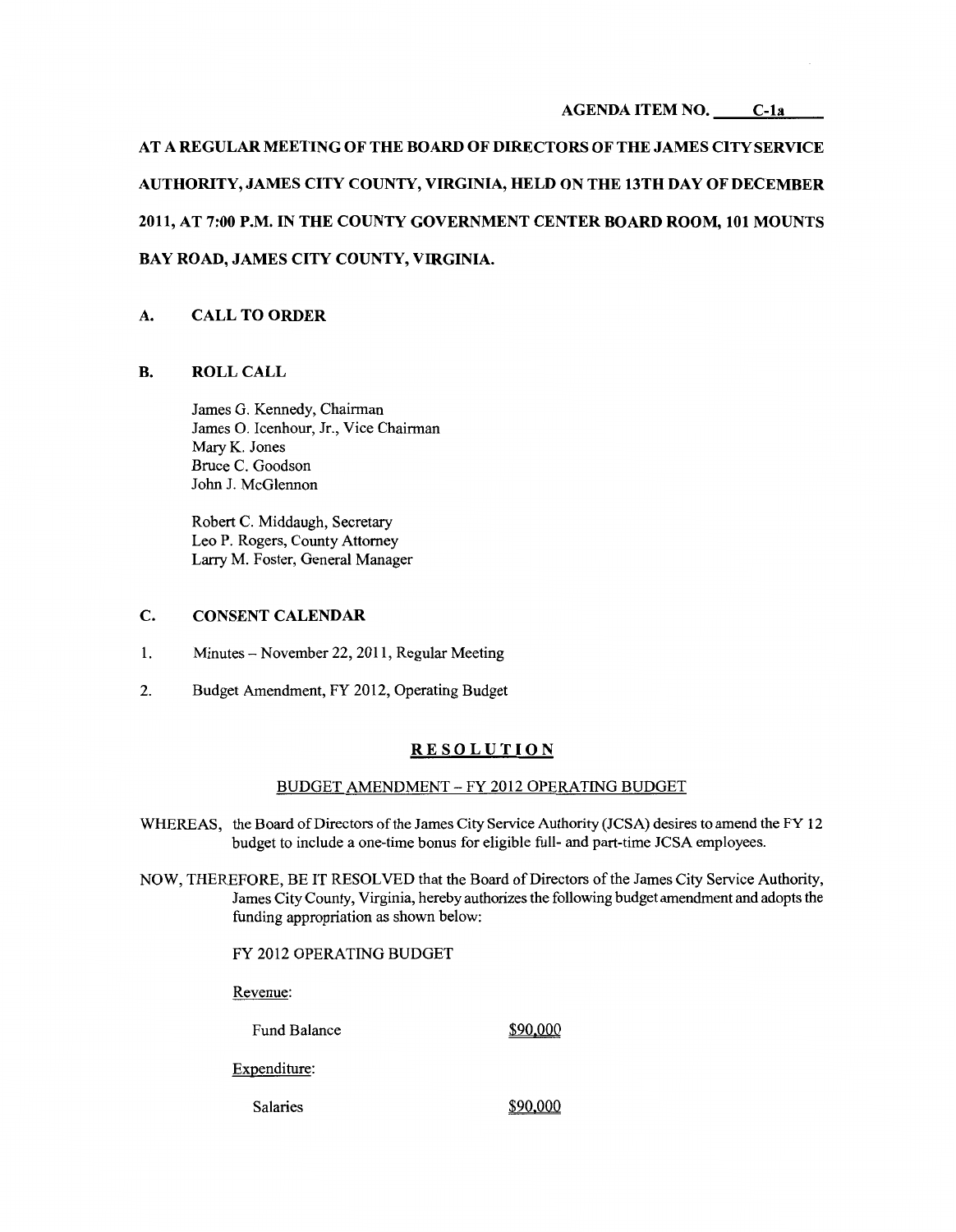#### **AGENDA ITEM NO. C-la**

**AT A REGULAR MEETING OF THE BOARD OF DIRECTORS OF THE JAMES CITY SERVICE AUTHORITY, JAMES CITY COUNTY, VIRGINIA, HELD ON THE 13TH DAY OF DECEMBER 2011, AT 7:00 P.M. IN THE COUNTY GOVERNMENT CENTER BOARD ROOM, 101 MOUNTS BAY ROAD, JAMES CITY COUNTY, VIRGINIA.** 

## **A. CALL TO ORDER**

#### **B. ROLLCALL**

James G. Kennedy, Chairman James 0. Icenhour, Jr., Vice Chairman Mary K. Jones Bruce C. Goodson John J. McGlennon

Robert C. Middaugh, Secretary Leo P. Rogers, County Attorney Larry M. Foster, General Manager

#### **C. CONSENT CALENDAR**

- 1. Minutes- November 22, 2011, Regular Meeting
- 2. Budget Amendment, FY 2012, Operating Budget

#### **RESOLUTION**

## BUDGET AMENDMENT- FY 2012 OPERATING BUDGET

- WHEREAS, the Board of Directors of the James City Service Authority (JCSA) desires to amend the FY 12 budget to include a one-time bonus for eligible full- and part-time JCSA employees.
- NOW, THEREFORE, BE IT RESOLVED that the Board of Directors of the James City Service Authority, James City County, Virginia, hereby authorizes the following budget amendment and adopts the funding appropriation as shown below:

FY 2012 OPERATING BUDGET

Revenue:

Fund Balance \$90,000

Expenditure:

Salaries  $\frac{$90,000}{ }$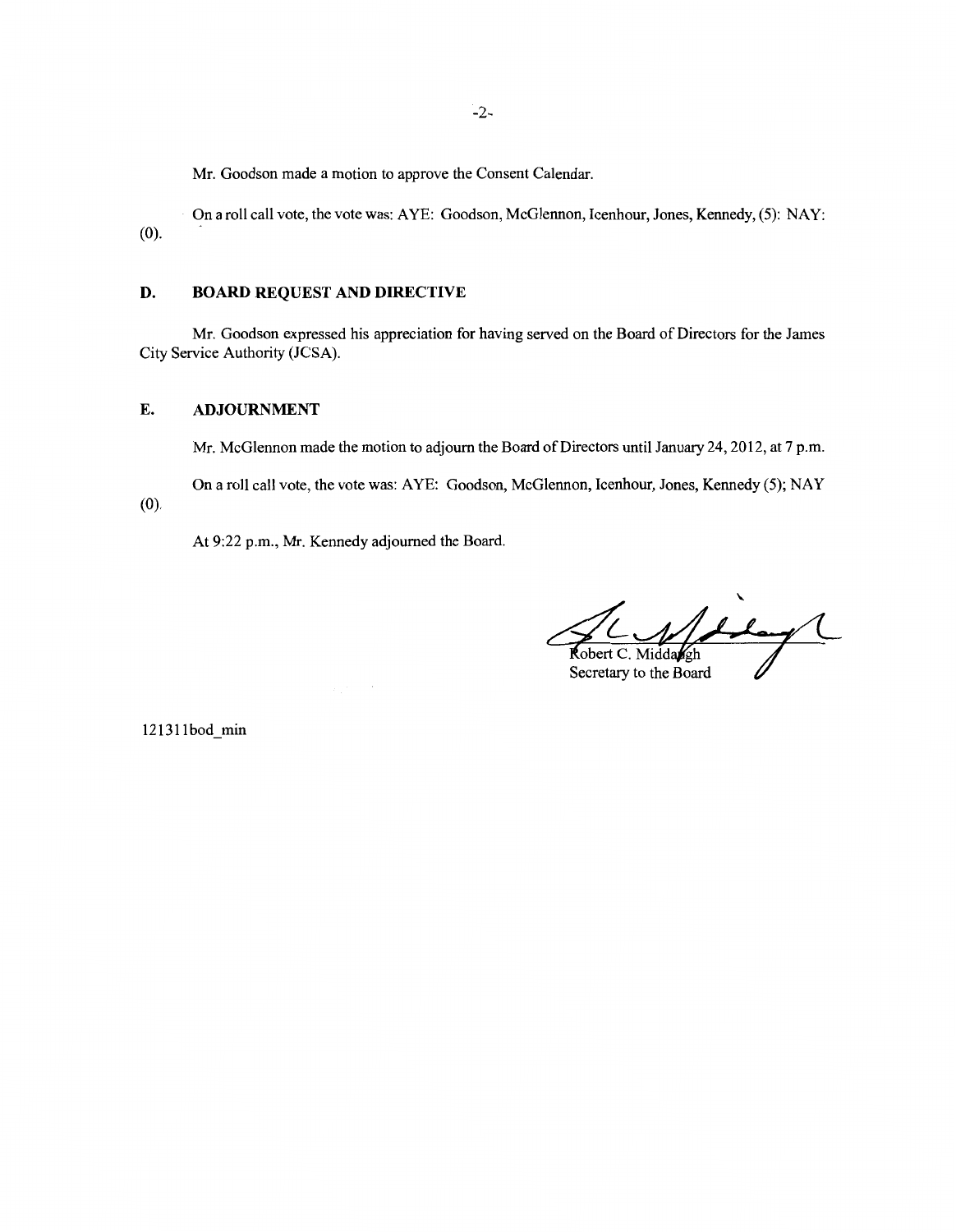Mr. Goodson made a motion to approve the Consent Calendar.

On a roll call vote, the vote was: AYE: Goodson, McGlennon, Icenhour, Jones, Kennedy, (5): NAY: (0).

## **D. BOARD REQUEST AND DIRECTIVE**

Mr. Goodson expressed his appreciation for having served on the Board of Directors for the James City Service Authority (JCSA).

### **E. ADJOURNMENT**

Mr. McGlennon made the motion to adjourn the Board of Directors until January 24, 2012, at 7 p.m.

On a roll call vote, the vote was: AYE: Goodson, McGlennon, Icenhour, Jones, Kennedy (5); NAY (0).

At 9:22 p.m., Mr. Kennedy adjourned the Board.

Robert C. Middangh

Secretary to the Board

121311bod min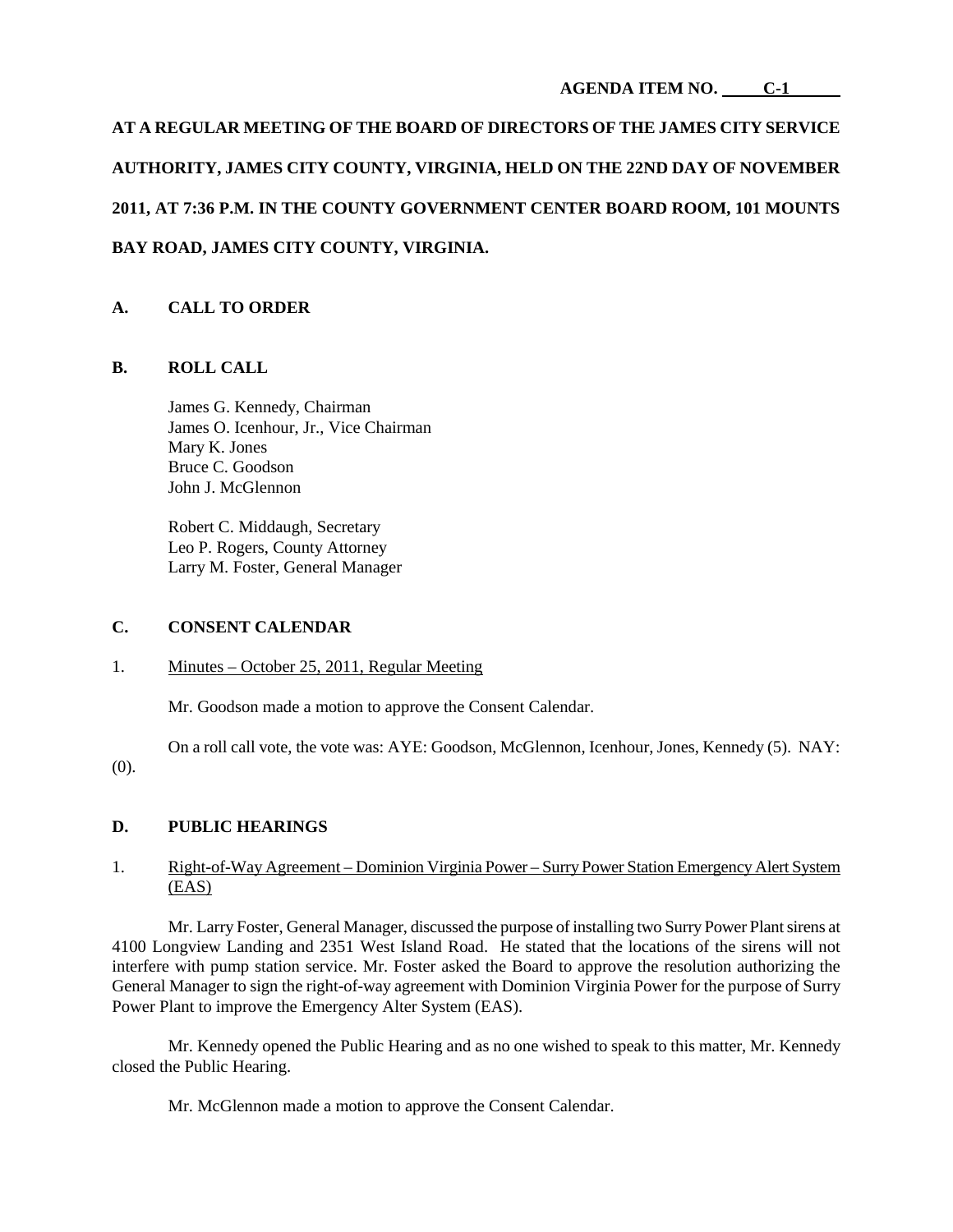**AT A REGULAR MEETING OF THE BOARD OF DIRECTORS OF THE JAMES CITY SERVICE AUTHORITY, JAMES CITY COUNTY, VIRGINIA, HELD ON THE 22ND DAY OF NOVEMBER 2011, AT 7:36 P.M. IN THE COUNTY GOVERNMENT CENTER BOARD ROOM, 101 MOUNTS BAY ROAD, JAMES CITY COUNTY, VIRGINIA.**

# **A. CALL TO ORDER**

## **B. ROLL CALL**

James G. Kennedy, Chairman James O. Icenhour, Jr., Vice Chairman Mary K. Jones Bruce C. Goodson John J. McGlennon

Robert C. Middaugh, Secretary Leo P. Rogers, County Attorney Larry M. Foster, General Manager

## **C. CONSENT CALENDAR**

## 1. Minutes – October 25, 2011, Regular Meeting

Mr. Goodson made a motion to approve the Consent Calendar.

On a roll call vote, the vote was: AYE: Goodson, McGlennon, Icenhour, Jones, Kennedy (5). NAY: (0).

## **D. PUBLIC HEARINGS**

## 1. Right-of-Way Agreement – Dominion Virginia Power – Surry Power Station Emergency Alert System (EAS)

Mr. Larry Foster, General Manager, discussed the purpose of installing two Surry Power Plant sirens at 4100 Longview Landing and 2351 West Island Road. He stated that the locations of the sirens will not interfere with pump station service. Mr. Foster asked the Board to approve the resolution authorizing the General Manager to sign the right-of-way agreement with Dominion Virginia Power for the purpose of Surry Power Plant to improve the Emergency Alter System (EAS).

Mr. Kennedy opened the Public Hearing and as no one wished to speak to this matter, Mr. Kennedy closed the Public Hearing.

Mr. McGlennon made a motion to approve the Consent Calendar.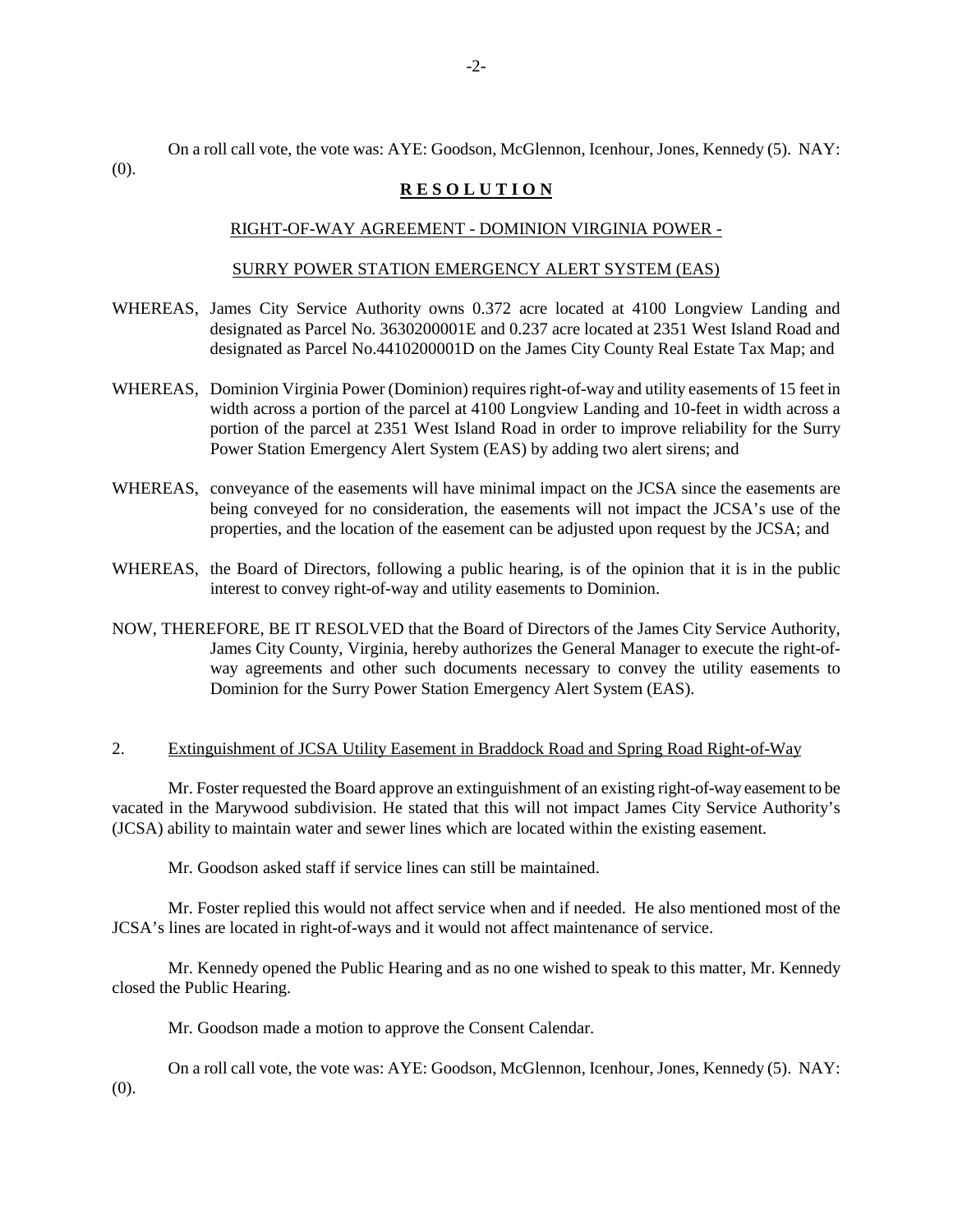-2-

On a roll call vote, the vote was: AYE: Goodson, McGlennon, Icenhour, Jones, Kennedy (5). NAY:

(0).

#### **R E S O L U T I O N**

#### RIGHT-OF-WAY AGREEMENT - DOMINION VIRGINIA POWER -

#### SURRY POWER STATION EMERGENCY ALERT SYSTEM (EAS)

- WHEREAS, James City Service Authority owns 0.372 acre located at 4100 Longview Landing and designated as Parcel No. 3630200001E and 0.237 acre located at 2351 West Island Road and designated as Parcel No.4410200001D on the James City County Real Estate Tax Map; and
- WHEREAS, Dominion Virginia Power (Dominion) requires right-of-way and utility easements of 15 feet in width across a portion of the parcel at 4100 Longview Landing and 10-feet in width across a portion of the parcel at 2351 West Island Road in order to improve reliability for the Surry Power Station Emergency Alert System (EAS) by adding two alert sirens; and
- WHEREAS, conveyance of the easements will have minimal impact on the JCSA since the easements are being conveyed for no consideration, the easements will not impact the JCSA's use of the properties, and the location of the easement can be adjusted upon request by the JCSA; and
- WHEREAS, the Board of Directors, following a public hearing, is of the opinion that it is in the public interest to convey right-of-way and utility easements to Dominion.
- NOW, THEREFORE, BE IT RESOLVED that the Board of Directors of the James City Service Authority, James City County, Virginia, hereby authorizes the General Manager to execute the right-ofway agreements and other such documents necessary to convey the utility easements to Dominion for the Surry Power Station Emergency Alert System (EAS).

#### 2. Extinguishment of JCSA Utility Easement in Braddock Road and Spring Road Right-of-Way

Mr. Foster requested the Board approve an extinguishment of an existing right-of-way easement to be vacated in the Marywood subdivision. He stated that this will not impact James City Service Authority's (JCSA) ability to maintain water and sewer lines which are located within the existing easement.

Mr. Goodson asked staff if service lines can still be maintained.

Mr. Foster replied this would not affect service when and if needed. He also mentioned most of the JCSA's lines are located in right-of-ways and it would not affect maintenance of service.

Mr. Kennedy opened the Public Hearing and as no one wished to speak to this matter, Mr. Kennedy closed the Public Hearing.

Mr. Goodson made a motion to approve the Consent Calendar.

On a roll call vote, the vote was: AYE: Goodson, McGlennon, Icenhour, Jones, Kennedy (5). NAY: (0).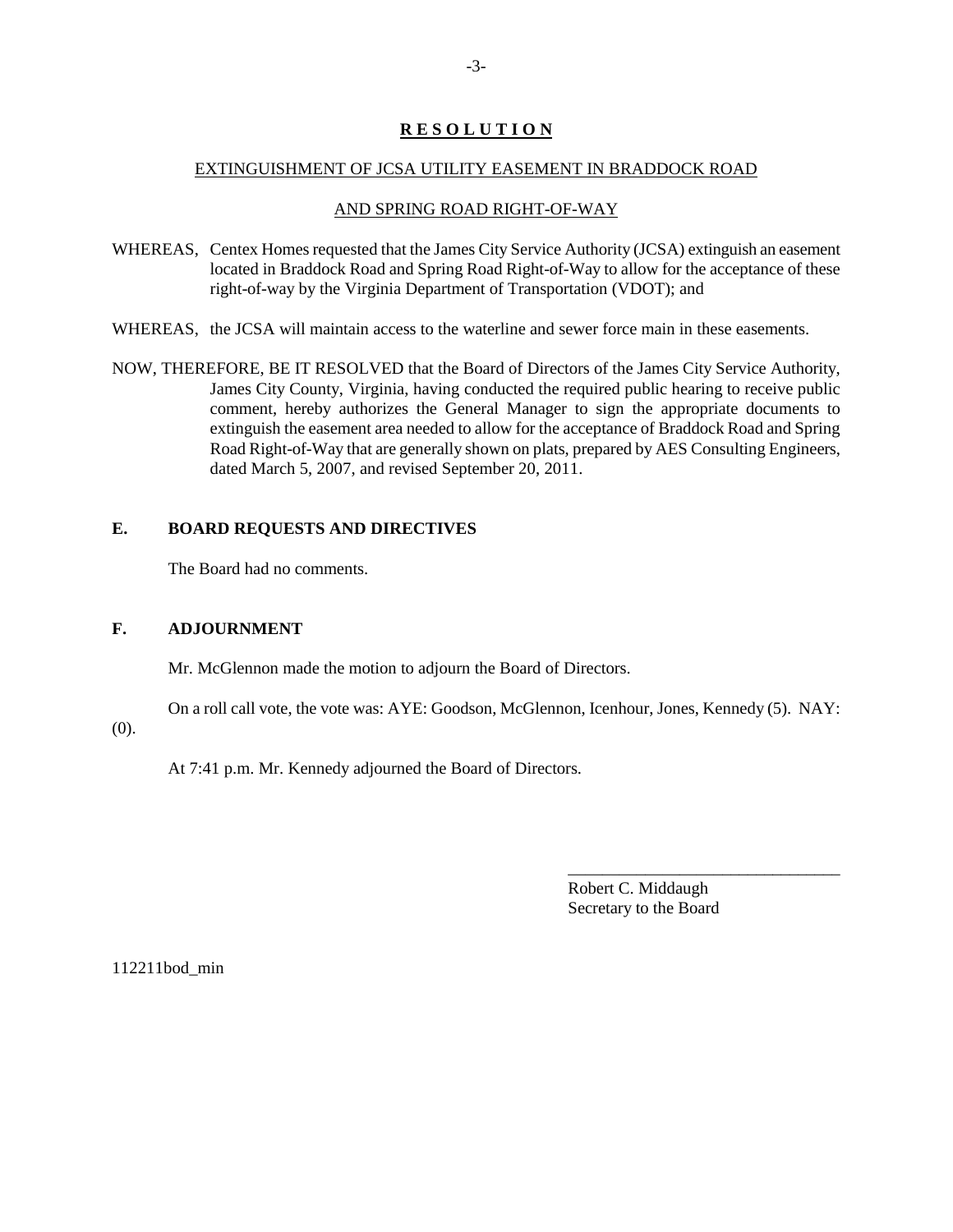## **R E S O L U T I O N**

#### EXTINGUISHMENT OF JCSA UTILITY EASEMENT IN BRADDOCK ROAD

## AND SPRING ROAD RIGHT-OF-WAY

- WHEREAS, Centex Homes requested that the James City Service Authority (JCSA) extinguish an easement located in Braddock Road and Spring Road Right-of-Way to allow for the acceptance of these right-of-way by the Virginia Department of Transportation (VDOT); and
- WHEREAS, the JCSA will maintain access to the waterline and sewer force main in these easements.
- NOW, THEREFORE, BE IT RESOLVED that the Board of Directors of the James City Service Authority, James City County, Virginia, having conducted the required public hearing to receive public comment, hereby authorizes the General Manager to sign the appropriate documents to extinguish the easement area needed to allow for the acceptance of Braddock Road and Spring Road Right-of-Way that are generally shown on plats, prepared by AES Consulting Engineers, dated March 5, 2007, and revised September 20, 2011.

## **E. BOARD REQUESTS AND DIRECTIVES**

The Board had no comments.

## **F. ADJOURNMENT**

Mr. McGlennon made the motion to adjourn the Board of Directors.

On a roll call vote, the vote was: AYE: Goodson, McGlennon, Icenhour, Jones, Kennedy (5). NAY:

(0).

At 7:41 p.m. Mr. Kennedy adjourned the Board of Directors.

Robert C. Middaugh Secretary to the Board

\_\_\_\_\_\_\_\_\_\_\_\_\_\_\_\_\_\_\_\_\_\_\_\_\_\_\_\_\_\_\_\_

112211bod\_min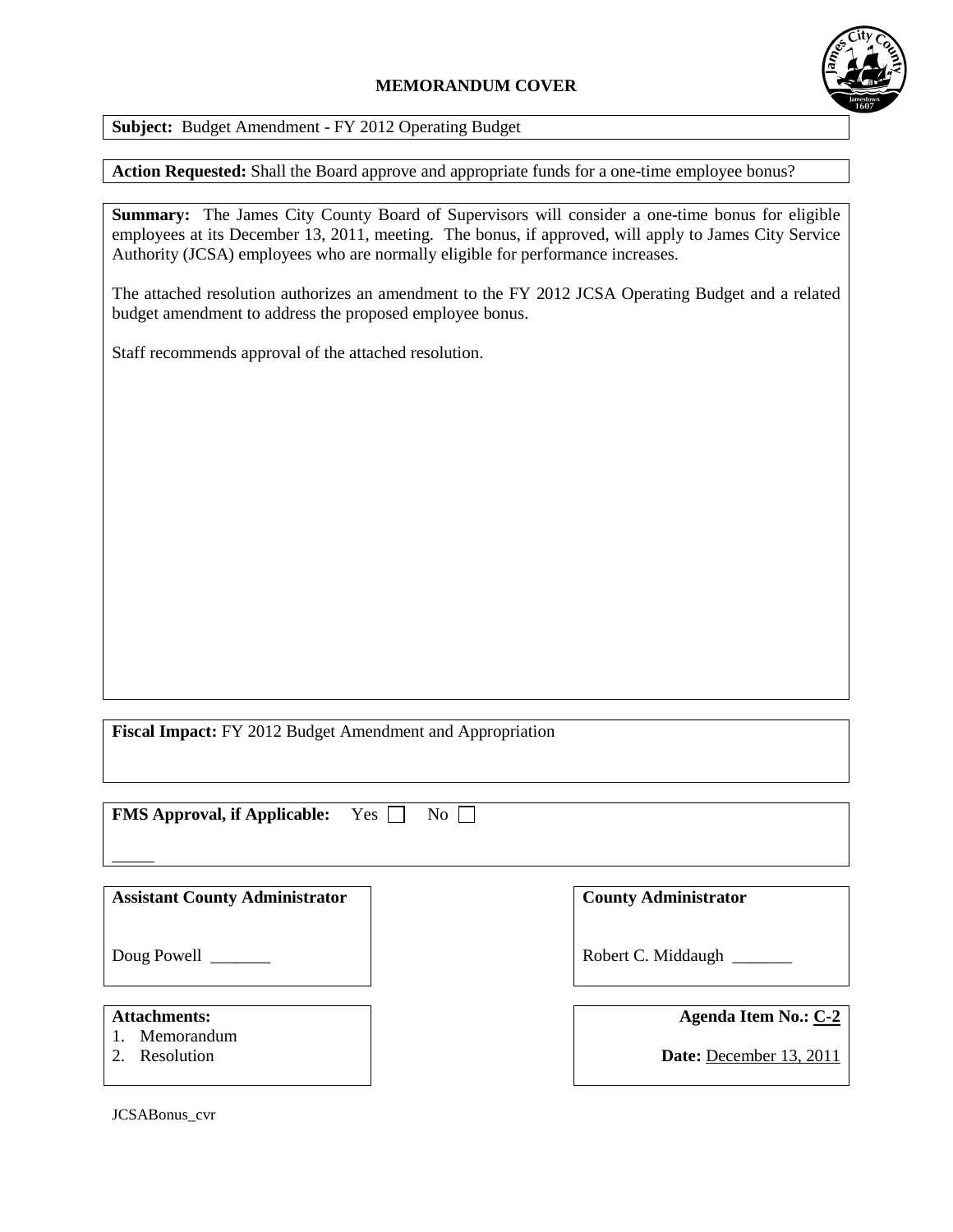# **MEMORANDUM COVER**



**Subject:** Budget Amendment - FY 2012 Operating Budget

**Action Requested:** Shall the Board approve and appropriate funds for a one-time employee bonus?

**Summary:** The James City County Board of Supervisors will consider a one-time bonus for eligible employees at its December 13, 2011, meeting. The bonus, if approved, will apply to James City Service Authority (JCSA) employees who are normally eligible for performance increases.

The attached resolution authorizes an amendment to the FY 2012 JCSA Operating Budget and a related budget amendment to address the proposed employee bonus.

Staff recommends approval of the attached resolution.

**Fiscal Impact:** FY 2012 Budget Amendment and Appropriation

**FMS Approval, if Applicable:** Yes  $\Box$  No

**Assistant County Administrator**

Doug Powell \_\_\_\_\_\_\_\_

## **Attachments:**

- 1. Memorandum
- 2. Resolution

**County Administrator**

Robert C. Middaugh \_\_\_\_\_\_\_

| Agenda Item No.: C-2 |  |  |  |
|----------------------|--|--|--|
|----------------------|--|--|--|

**Date:** December 13, 2011

JCSABonus\_cvr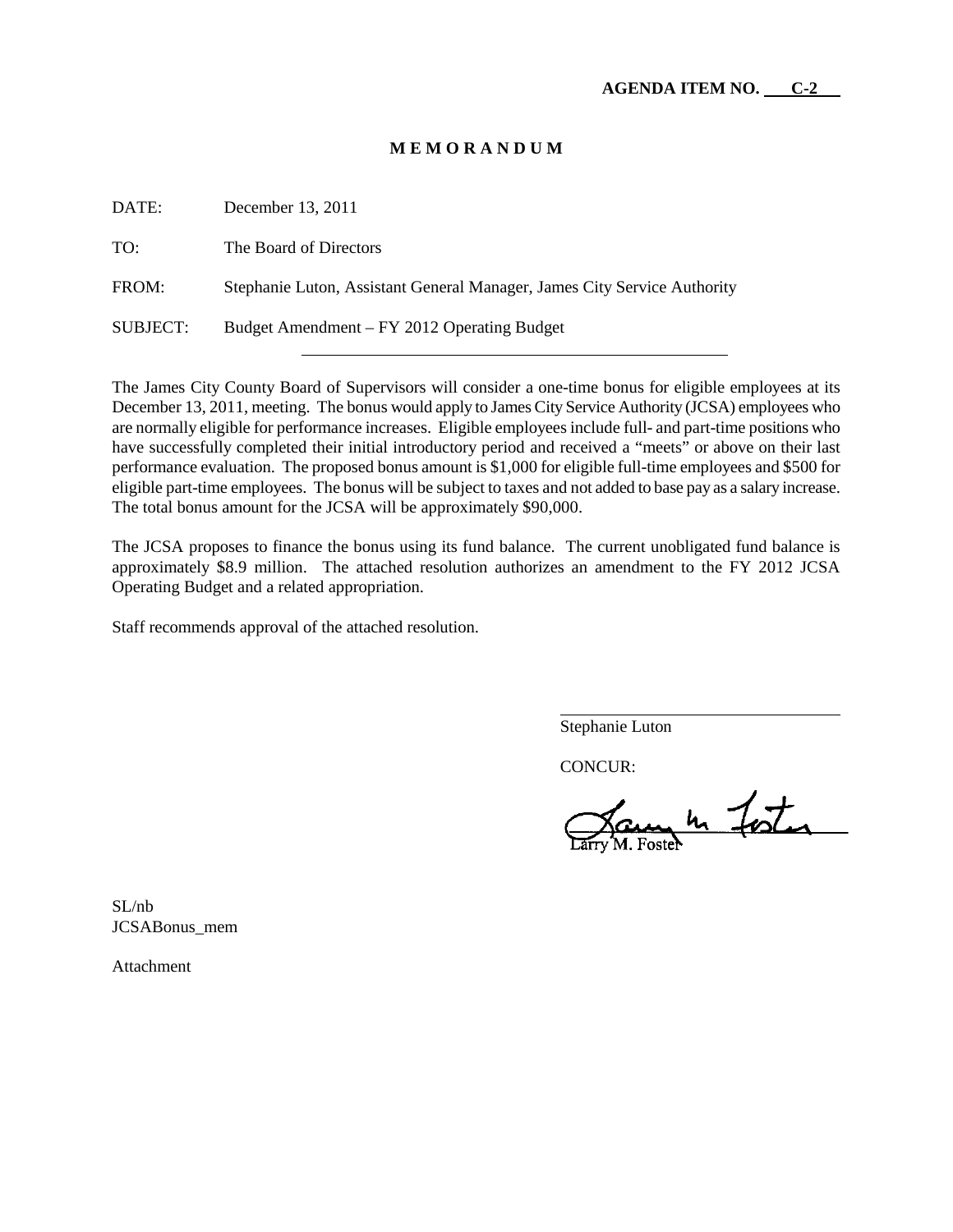## **M E M O R A N D U M**

| DATE:    | December 13, 2011                                                        |
|----------|--------------------------------------------------------------------------|
| TO:      | The Board of Directors                                                   |
| FROM:    | Stephanie Luton, Assistant General Manager, James City Service Authority |
| SUBJECT: | Budget Amendment – FY 2012 Operating Budget                              |

The James City County Board of Supervisors will consider a one-time bonus for eligible employees at its December 13, 2011, meeting. The bonus would apply to James City Service Authority (JCSA) employees who are normally eligible for performance increases. Eligible employees include full- and part-time positions who have successfully completed their initial introductory period and received a "meets" or above on their last performance evaluation. The proposed bonus amount is \$1,000 for eligible full-time employees and \$500 for eligible part-time employees. The bonus will be subject to taxes and not added to base pay as a salary increase. The total bonus amount for the JCSA will be approximately \$90,000.

The JCSA proposes to finance the bonus using its fund balance. The current unobligated fund balance is approximately \$8.9 million. The attached resolution authorizes an amendment to the FY 2012 JCSA Operating Budget and a related appropriation.

Staff recommends approval of the attached resolution.

Stephanie Luton

CONCUR:

augh foster

SL/nb JCSABonus\_mem

Attachment